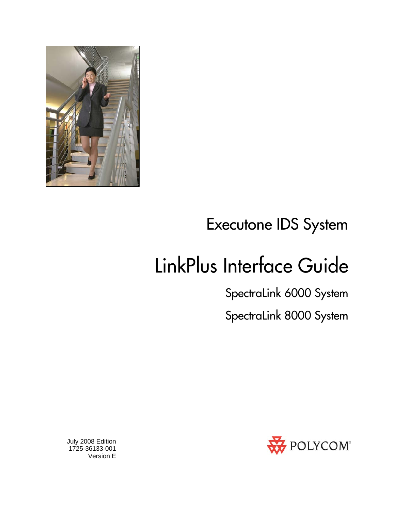

# Executone IDS System

# LinkPlus Interface Guide

SpectraLink 6000 System

SpectraLink 8000 System



 July 2008 Edition 1725-36133-001 Version E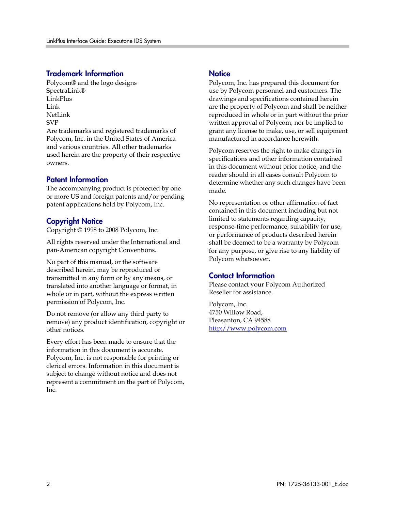#### Trademark Information

Polycom® and the logo designs SpectraLink® LinkPlus Link NetLink SVP

Are trademarks and registered trademarks of Polycom, Inc. in the United States of America and various countries. All other trademarks used herein are the property of their respective owners.

#### Patent Information

The accompanying product is protected by one or more US and foreign patents and/or pending patent applications held by Polycom, Inc.

#### Copyright Notice

Copyright © 1998 to 2008 Polycom, Inc.

All rights reserved under the International and pan-American copyright Conventions.

No part of this manual, or the software described herein, may be reproduced or transmitted in any form or by any means, or translated into another language or format, in whole or in part, without the express written permission of Polycom, Inc.

Do not remove (or allow any third party to remove) any product identification, copyright or other notices.

Every effort has been made to ensure that the information in this document is accurate. Polycom, Inc. is not responsible for printing or clerical errors. Information in this document is subject to change without notice and does not represent a commitment on the part of Polycom, Inc.

#### **Notice**

Polycom, Inc. has prepared this document for use by Polycom personnel and customers. The drawings and specifications contained herein are the property of Polycom and shall be neither reproduced in whole or in part without the prior written approval of Polycom, nor be implied to grant any license to make, use, or sell equipment manufactured in accordance herewith.

Polycom reserves the right to make changes in specifications and other information contained in this document without prior notice, and the reader should in all cases consult Polycom to determine whether any such changes have been made.

No representation or other affirmation of fact contained in this document including but not limited to statements regarding capacity, response-time performance, suitability for use, or performance of products described herein shall be deemed to be a warranty by Polycom for any purpose, or give rise to any liability of Polycom whatsoever.

#### Contact Information

Please contact your Polycom Authorized Reseller for assistance.

Polycom, Inc. 4750 Willow Road, Pleasanton, CA 94588 [http://www.polycom.com](http://www.polycom.com/)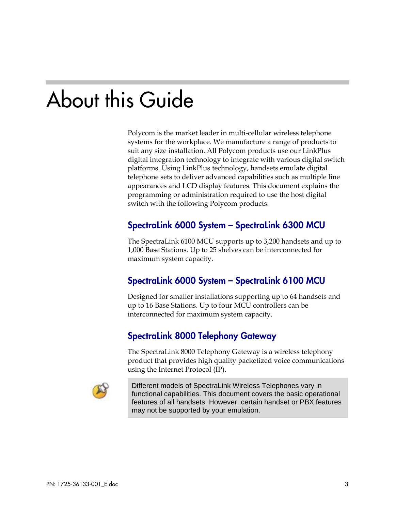# About this Guide

Polycom is the market leader in multi-cellular wireless telephone systems for the workplace. We manufacture a range of products to suit any size installation. All Polycom products use our LinkPlus digital integration technology to integrate with various digital switch platforms. Using LinkPlus technology, handsets emulate digital telephone sets to deliver advanced capabilities such as multiple line appearances and LCD display features. This document explains the programming or administration required to use the host digital switch with the following Polycom products:

### SpectraLink 6000 System – SpectraLink 6300 MCU

The SpectraLink 6100 MCU supports up to 3,200 handsets and up to 1,000 Base Stations. Up to 25 shelves can be interconnected for maximum system capacity.

### SpectraLink 6000 System – SpectraLink 6100 MCU

Designed for smaller installations supporting up to 64 handsets and up to 16 Base Stations. Up to four MCU controllers can be interconnected for maximum system capacity.

### SpectraLink 8000 Telephony Gateway

The SpectraLink 8000 Telephony Gateway is a wireless telephony product that provides high quality packetized voice communications using the Internet Protocol (IP).



Different models of SpectraLink Wireless Telephones vary in functional capabilities. This document covers the basic operational features of all handsets. However, certain handset or PBX features may not be supported by your emulation.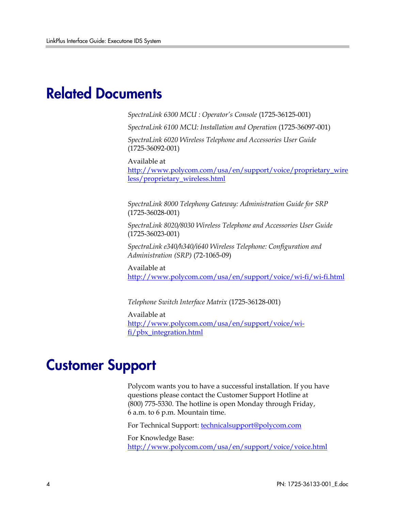### Related Documents

*SpectraLink 6300 MCU : Operator's Console* (1725-36125-001)

*SpectraLink 6100 MCU: Installation and Operation* (1725-36097-001)

*SpectraLink 6020 Wireless Telephone and Accessories User Guide*  (1725-36092-001)

Available at

[http://www.polycom.com/usa/en/support/voice/proprietary\\_wire](http://www.polycom.com/usa/en/support/voice/proprietary_wireless/proprietary_wireless.html) [less/proprietary\\_wireless.html](http://www.polycom.com/usa/en/support/voice/proprietary_wireless/proprietary_wireless.html)

*SpectraLink 8000 Telephony Gateway: Administration Guide for SRP*  (1725-36028-001)

*SpectraLink 8020/8030 Wireless Telephone and Accessories User Guide*  (1725-36023-001)

*SpectraLink e340/h340/i640 Wireless Telephone: Configuration and Administration (SRP)* (72-1065-09)

Available at <http://www.polycom.com/usa/en/support/voice/wi-fi/wi-fi.html>

*Telephone Switch Interface Matrix* (1725-36128-001)

Available at [http://www.polycom.com/usa/en/support/voice/wi](http://www.polycom.com/usa/en/support/voice/wi-fi/pbx_integration.html)[fi/pbx\\_integration.html](http://www.polycom.com/usa/en/support/voice/wi-fi/pbx_integration.html)

### Customer Support

Polycom wants you to have a successful installation. If you have questions please contact the Customer Support Hotline at (800) 775-5330. The hotline is open Monday through Friday, 6 a.m. to 6 p.m. Mountain time.

For Technical Support: [technicalsupport@polycom.com](mailto:technicalsupport@polycom.com)

For Knowledge Base: <http://www.polycom.com/usa/en/support/voice/voice.html>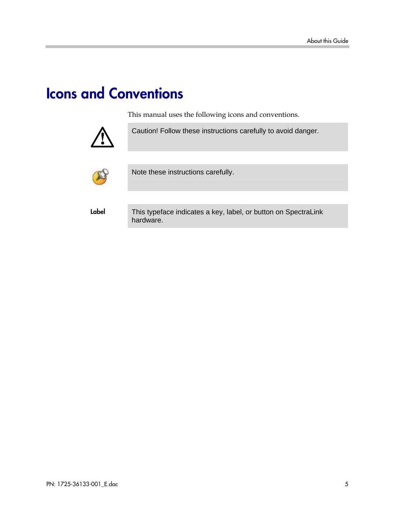## Icons and Conventions

This manual uses the following icons and conventions.



Caution! Follow these instructions carefully to avoid danger.



Note these instructions carefully.

Label This typeface indicates a key, label, or button on SpectraLink hardware.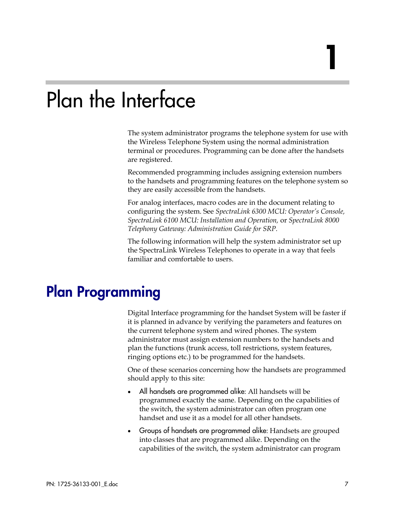# Plan the Interface

The system administrator programs the telephone system for use with the Wireless Telephone System using the normal administration terminal or procedures. Programming can be done after the handsets are registered.

Recommended programming includes assigning extension numbers to the handsets and programming features on the telephone system so they are easily accessible from the handsets.

For analog interfaces, macro codes are in the document relating to configuring the system. See *SpectraLink 6300 MCU: Operator's Console, SpectraLink 6100 MCU: Installation and Operation,* or *SpectraLink 8000 Telephony Gateway: Administration Guide for SRP.*

The following information will help the system administrator set up the SpectraLink Wireless Telephones to operate in a way that feels familiar and comfortable to users.

### Plan Programming

Digital Interface programming for the handset System will be faster if it is planned in advance by verifying the parameters and features on the current telephone system and wired phones. The system administrator must assign extension numbers to the handsets and plan the functions (trunk access, toll restrictions, system features, ringing options etc.) to be programmed for the handsets.

One of these scenarios concerning how the handsets are programmed should apply to this site:

- All handsets are programmed alike: All handsets will be programmed exactly the same. Depending on the capabilities of the switch, the system administrator can often program one handset and use it as a model for all other handsets.
- Groups of handsets are programmed alike: Handsets are grouped into classes that are programmed alike. Depending on the capabilities of the switch, the system administrator can program

1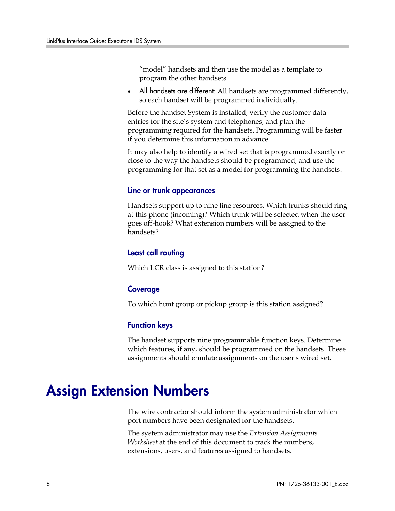"model" handsets and then use the model as a template to program the other handsets.

All handsets are different: All handsets are programmed differently, so each handset will be programmed individually.

Before the handset System is installed, verify the customer data entries for the site's system and telephones, and plan the programming required for the handsets. Programming will be faster if you determine this information in advance.

It may also help to identify a wired set that is programmed exactly or close to the way the handsets should be programmed, and use the programming for that set as a model for programming the handsets.

#### Line or trunk appearances

Handsets support up to nine line resources. Which trunks should ring at this phone (incoming)? Which trunk will be selected when the user goes off-hook? What extension numbers will be assigned to the handsets?

#### Least call routing

Which LCR class is assigned to this station?

#### Coverage

To which hunt group or pickup group is this station assigned?

#### Function keys

The handset supports nine programmable function keys. Determine which features, if any, should be programmed on the handsets. These assignments should emulate assignments on the user's wired set.

## Assign Extension Numbers

The wire contractor should inform the system administrator which port numbers have been designated for the handsets.

The system administrator may use the *Extension Assignments Worksheet* at the end of this document to track the numbers, extensions, users, and features assigned to handsets.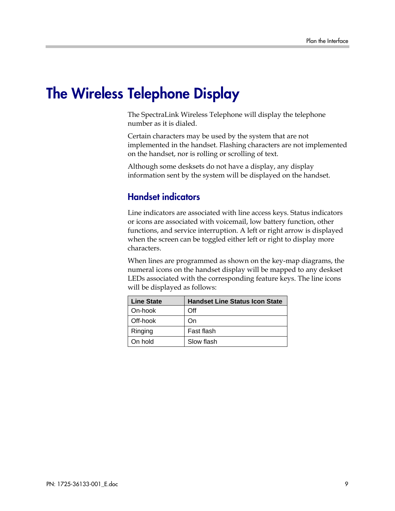## The Wireless Telephone Display

The SpectraLink Wireless Telephone will display the telephone number as it is dialed.

Certain characters may be used by the system that are not implemented in the handset. Flashing characters are not implemented on the handset, nor is rolling or scrolling of text.

Although some desksets do not have a display, any display information sent by the system will be displayed on the handset.

### Handset indicators

Line indicators are associated with line access keys. Status indicators or icons are associated with voicemail, low battery function, other functions, and service interruption. A left or right arrow is displayed when the screen can be toggled either left or right to display more characters.

When lines are programmed as shown on the key-map diagrams, the numeral icons on the handset display will be mapped to any deskset LEDs associated with the corresponding feature keys. The line icons will be displayed as follows:

| <b>Line State</b> | <b>Handset Line Status Icon State</b> |
|-------------------|---------------------------------------|
| On-hook           | Off                                   |
| Off-hook          | On.                                   |
| Ringing           | Fast flash                            |
| On hold           | Slow flash                            |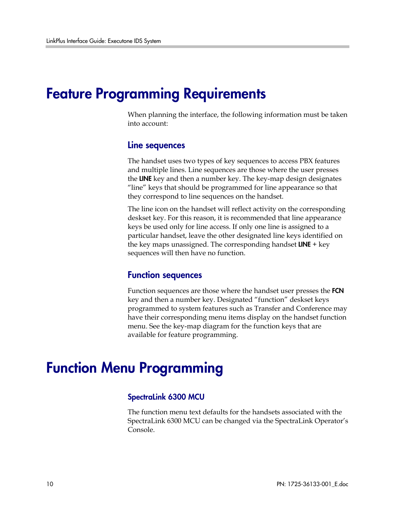### Feature Programming Requirements

When planning the interface, the following information must be taken into account:

#### Line sequences

The handset uses two types of key sequences to access PBX features and multiple lines. Line sequences are those where the user presses the LINE key and then a number key. The key-map design designates "line" keys that should be programmed for line appearance so that they correspond to line sequences on the handset.

The line icon on the handset will reflect activity on the corresponding deskset key. For this reason, it is recommended that line appearance keys be used only for line access. If only one line is assigned to a particular handset, leave the other designated line keys identified on the key maps unassigned. The corresponding handset  $LINE + key$ sequences will then have no function.

#### Function sequences

Function sequences are those where the handset user presses the FCN key and then a number key. Designated "function" deskset keys programmed to system features such as Transfer and Conference may have their corresponding menu items display on the handset function menu. See the key-map diagram for the function keys that are available for feature programming.

### Function Menu Programming

#### SpectraLink 6300 MCU

The function menu text defaults for the handsets associated with the SpectraLink 6300 MCU can be changed via the SpectraLink Operator's Console.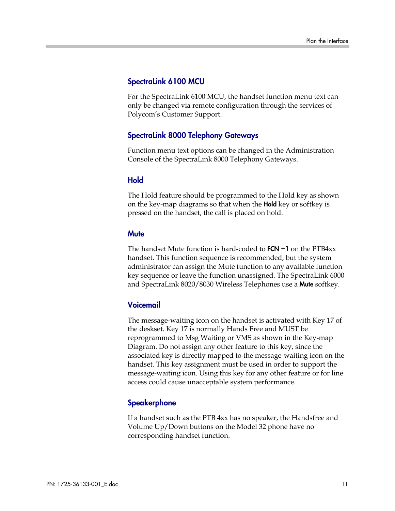#### SpectraLink 6100 MCU

For the SpectraLink 6100 MCU, the handset function menu text can only be changed via remote configuration through the services of Polycom's Customer Support.

#### SpectraLink 8000 Telephony Gateways

Function menu text options can be changed in the Administration Console of the SpectraLink 8000 Telephony Gateways.

#### Hold

The Hold feature should be programmed to the Hold key as shown on the key-map diagrams so that when the **Hold** key or softkey is pressed on the handset, the call is placed on hold.

#### **Mute**

The handset Mute function is hard-coded to  $FCN + 1$  on the  $PTB4xx$ handset. This function sequence is recommended, but the system administrator can assign the Mute function to any available function key sequence or leave the function unassigned. The SpectraLink 6000 and SpectraLink 8020/8030 Wireless Telephones use a Mute softkey.

#### Voicemail

The message-waiting icon on the handset is activated with Key 17 of the deskset. Key 17 is normally Hands Free and MUST be reprogrammed to Msg Waiting or VMS as shown in the Key-map Diagram. Do not assign any other feature to this key, since the associated key is directly mapped to the message-waiting icon on the handset. This key assignment must be used in order to support the message-waiting icon. Using this key for any other feature or for line access could cause unacceptable system performance.

#### **Speakerphone**

If a handset such as the PTB 4xx has no speaker, the Handsfree and Volume Up/Down buttons on the Model 32 phone have no corresponding handset function.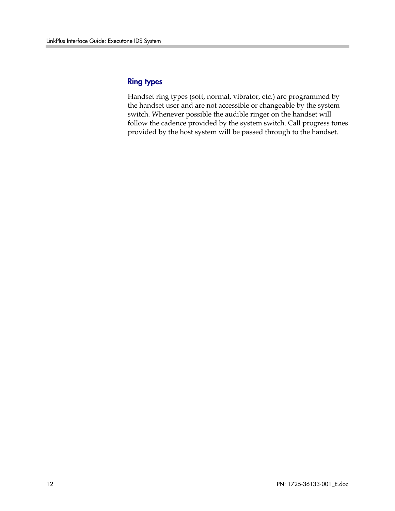#### Ring types

Handset ring types (soft, normal, vibrator, etc.) are programmed by the handset user and are not accessible or changeable by the system switch. Whenever possible the audible ringer on the handset will follow the cadence provided by the system switch. Call progress tones provided by the host system will be passed through to the handset.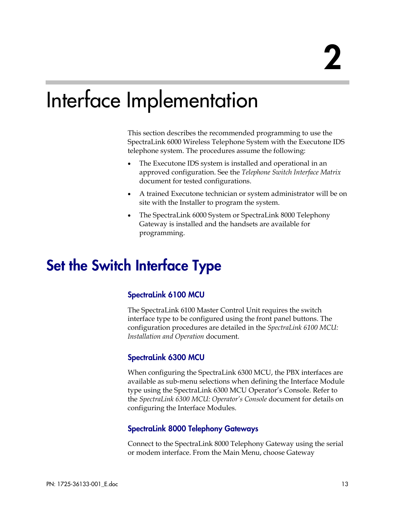# Interface Implementation

This section describes the recommended programming to use the SpectraLink 6000 Wireless Telephone System with the Executone IDS telephone system. The procedures assume the following:

- The Executone IDS system is installed and operational in an approved configuration. See the *Telephone Switch Interface Matrix* document for tested configurations.
- A trained Executone technician or system administrator will be on site with the Installer to program the system.
- The SpectraLink 6000 System or SpectraLink 8000 Telephony Gateway is installed and the handsets are available for programming.

## Set the Switch Interface Type

#### SpectraLink 6100 MCU

The SpectraLink 6100 Master Control Unit requires the switch interface type to be configured using the front panel buttons. The configuration procedures are detailed in the *SpectraLink 6100 MCU: Installation and Operation* document.

#### SpectraLink 6300 MCU

When configuring the SpectraLink 6300 MCU, the PBX interfaces are available as sub-menu selections when defining the Interface Module type using the SpectraLink 6300 MCU Operator's Console. Refer to the *SpectraLink 6300 MCU: Operator's Console* document for details on configuring the Interface Modules.

#### SpectraLink 8000 Telephony Gateways

Connect to the SpectraLink 8000 Telephony Gateway using the serial or modem interface. From the Main Menu, choose Gateway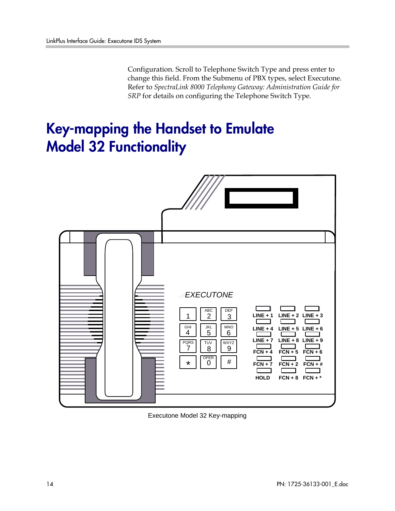Configuration. Scroll to Telephone Switch Type and press enter to change this field. From the Submenu of PBX types, select Executone. Refer to *SpectraLink 8000 Telephony Gateway: Administration Guide for SRP* for details on configuring the Telephone Switch Type.

## Key-mapping the Handset to Emulate Model 32 Functionality



Executone Model 32 Key-mapping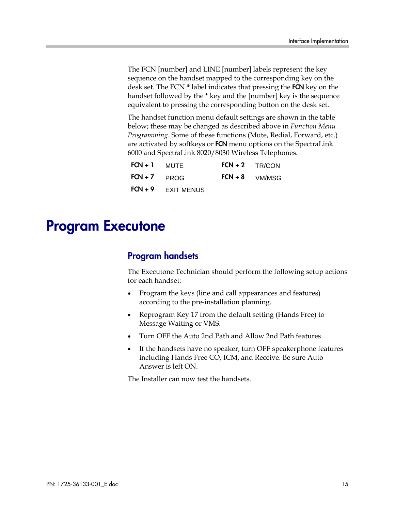The FCN [number] and LINE [number] labels represent the key sequence on the handset mapped to the corresponding key on the desk set. The FCN **\*** label indicates that pressing the FCN key on the handset followed by the \* key and the [number] key is the sequence equivalent to pressing the corresponding button on the desk set.

The handset function menu default settings are shown in the table below; these may be changed as described above in *Function Menu Programming*. Some of these functions (Mute, Redial, Forward, etc.) are activated by softkeys or FCN menu options on the SpectraLink 6000 and SpectraLink 8020/8030 Wireless Telephones.

| $FCN + 1$ MUTE |                           | $FCN + 2$ TR/CON |
|----------------|---------------------------|------------------|
| $FCN + 7$ PROG |                           | $FCN + 8$ VM/MSG |
|                | <b>FCN + 9</b> EXIT MENUS |                  |

### Program Executone

### Program handsets

The Executone Technician should perform the following setup actions for each handset:

- Program the keys (line and call appearances and features) according to the pre-installation planning.
- Reprogram Key 17 from the default setting (Hands Free) to Message Waiting or VMS.
- Turn OFF the Auto 2nd Path and Allow 2nd Path features
- If the handsets have no speaker, turn OFF speakerphone features including Hands Free CO, ICM, and Receive. Be sure Auto Answer is left ON.

The Installer can now test the handsets.